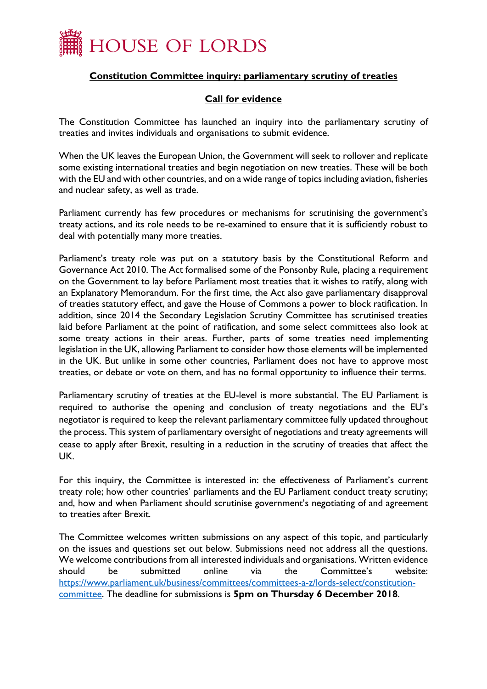

## **Constitution Committee inquiry: parliamentary scrutiny of treaties**

## **Call for evidence**

The Constitution Committee has launched an inquiry into the parliamentary scrutiny of treaties and invites individuals and organisations to submit evidence.

When the UK leaves the European Union, the Government will seek to rollover and replicate some existing international treaties and begin negotiation on new treaties. These will be both with the EU and with other countries, and on a wide range of topics including aviation, fisheries and nuclear safety, as well as trade.

Parliament currently has few procedures or mechanisms for scrutinising the government's treaty actions, and its role needs to be re-examined to ensure that it is sufficiently robust to deal with potentially many more treaties.

Parliament's treaty role was put on a statutory basis by the Constitutional Reform and Governance Act 2010. The Act formalised some of the Ponsonby Rule, placing a requirement on the Government to lay before Parliament most treaties that it wishes to ratify, along with an Explanatory Memorandum. For the first time, the Act also gave parliamentary disapproval of treaties statutory effect, and gave the House of Commons a power to block ratification. In addition, since 2014 the Secondary Legislation Scrutiny Committee has scrutinised treaties laid before Parliament at the point of ratification, and some select committees also look at some treaty actions in their areas. Further, parts of some treaties need implementing legislation in the UK, allowing Parliament to consider how those elements will be implemented in the UK. But unlike in some other countries, Parliament does not have to approve most treaties, or debate or vote on them, and has no formal opportunity to influence their terms.

Parliamentary scrutiny of treaties at the EU-level is more substantial. The EU Parliament is required to authorise the opening and conclusion of treaty negotiations and the EU's negotiator is required to keep the relevant parliamentary committee fully updated throughout the process. This system of parliamentary oversight of negotiations and treaty agreements will cease to apply after Brexit, resulting in a reduction in the scrutiny of treaties that affect the UK.

For this inquiry, the Committee is interested in: the effectiveness of Parliament's current treaty role; how other countries' parliaments and the EU Parliament conduct treaty scrutiny; and, how and when Parliament should scrutinise government's negotiating of and agreement to treaties after Brexit.

The Committee welcomes written submissions on any aspect of this topic, and particularly on the issues and questions set out below. Submissions need not address all the questions. We welcome contributions from all interested individuals and organisations. Written evidence should be submitted online via the Committee's website: https://www.parliament.uk/business/committees/committees-a-z/lords-select/constitutioncommittee. The deadline for submissions is **5pm on Thursday 6 December 2018**.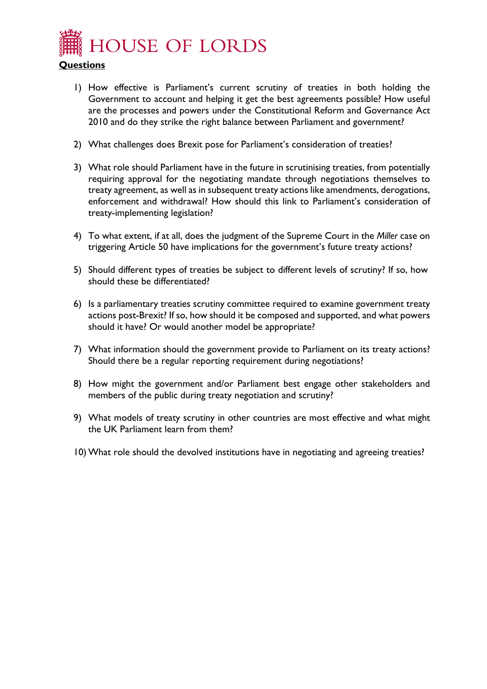

- 1) How effective is Parliament's current scrutiny of treaties in both holding the Government to account and helping it get the best agreements possible? How useful are the processes and powers under the Constitutional Reform and Governance Act 2010 and do they strike the right balance between Parliament and government?
- 2) What challenges does Brexit pose for Parliament's consideration of treaties?
- 3) What role should Parliament have in the future in scrutinising treaties, from potentially requiring approval for the negotiating mandate through negotiations themselves to treaty agreement, as well as in subsequent treaty actions like amendments, derogations, enforcement and withdrawal? How should this link to Parliament's consideration of treaty-implementing legislation?
- 4) To what extent, if at all, does the judgment of the Supreme Court in the *Miller* case on triggering Article 50 have implications for the government's future treaty actions?
- 5) Should different types of treaties be subject to different levels of scrutiny? If so, how should these be differentiated?
- 6) Is a parliamentary treaties scrutiny committee required to examine government treaty actions post-Brexit? If so, how should it be composed and supported, and what powers should it have? Or would another model be appropriate?
- 7) What information should the government provide to Parliament on its treaty actions? Should there be a regular reporting requirement during negotiations?
- 8) How might the government and/or Parliament best engage other stakeholders and members of the public during treaty negotiation and scrutiny?
- 9) What models of treaty scrutiny in other countries are most effective and what might the UK Parliament learn from them?
- 10) What role should the devolved institutions have in negotiating and agreeing treaties?